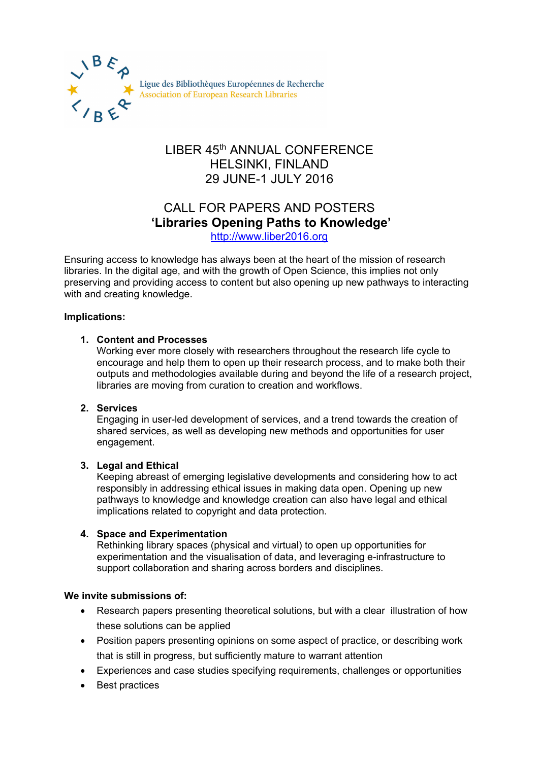

Ligue des Bibliothèques Européennes de Recherche Association of European Research Libraries

## LIBER 45th ANNUAL CONFERENCE HELSINKI, FINLAND 29 JUNE-1 JULY 2016

# CALL FOR PAPERS AND POSTERS **'Libraries Opening Paths to Knowledge'**

[http://www.liber2016.org](http://www.liber2016.org/)

Ensuring access to knowledge has always been at the heart of the mission of research libraries. In the digital age, and with the growth of Open Science, this implies not only preserving and providing access to content but also opening up new pathways to interacting with and creating knowledge.

#### **Implications:**

#### **1. Content and Processes**

Working ever more closely with researchers throughout the research life cycle to encourage and help them to open up their research process, and to make both their outputs and methodologies available during and beyond the life of a research project, libraries are moving from curation to creation and workflows.

#### **2. Services**

Engaging in user-led development of services, and a trend towards the creation of shared services, as well as developing new methods and opportunities for user engagement.

#### **3. Legal and Ethical**

Keeping abreast of emerging legislative developments and considering how to act responsibly in addressing ethical issues in making data open. Opening up new pathways to knowledge and knowledge creation can also have legal and ethical implications related to copyright and data protection.

#### **4. Space and Experimentation**

Rethinking library spaces (physical and virtual) to open up opportunities for experimentation and the visualisation of data, and leveraging e-infrastructure to support collaboration and sharing across borders and disciplines.

#### **We invite submissions of:**

- Research papers presenting theoretical solutions, but with a clear illustration of how these solutions can be applied
- Position papers presenting opinions on some aspect of practice, or describing work that is still in progress, but sufficiently mature to warrant attention
- Experiences and case studies specifying requirements, challenges or opportunities
- Best practices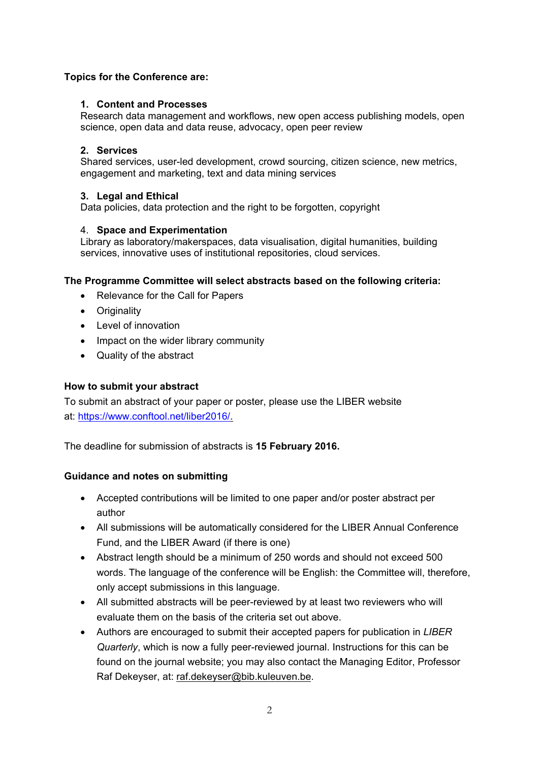#### **Topics for the Conference are:**

#### **1. Content and Processes**

Research data management and workflows, new open access publishing models, open science, open data and data reuse, advocacy, open peer review

#### **2. Services**

Shared services, user-led development, crowd sourcing, citizen science, new metrics, engagement and marketing, text and data mining services

#### **3. Legal and Ethical**

Data policies, data protection and the right to be forgotten, copyright

#### 4. **Space and Experimentation**

Library as laboratory/makerspaces, data visualisation, digital humanities, building services, innovative uses of institutional repositories, cloud services.

#### **The Programme Committee will select abstracts based on the following criteria:**

- Relevance for the Call for Papers
- Originality
- Level of innovation
- Impact on the wider library community
- Quality of the abstract

#### **How to submit your abstract**

To submit an abstract of your paper or poster, please use the LIBER website at: [https://www.conftool.net/liber2016/.](https://www.conftool.net/liber2016/)

The deadline for submission of abstracts is **15 February 2016.**

#### **Guidance and notes on submitting**

- Accepted contributions will be limited to one paper and/or poster abstract per author
- All submissions will be automatically considered for the LIBER Annual Conference Fund, and the LIBER Award (if there is one)
- Abstract length should be a minimum of 250 words and should not exceed 500 words. The language of the conference will be English: the Committee will, therefore, only accept submissions in this language.
- All submitted abstracts will be peer-reviewed by at least two reviewers who will evaluate them on the basis of the criteria set out above.
- Authors are encouraged to submit their accepted papers for publication in *[LIBER](http://liber.library.uu.nl/)  [Quarterly](http://liber.library.uu.nl/)*, which is now a fully peer-reviewed journal. Instructions for this can be found on the journal website; you may also contact the Managing Editor, Professor Raf Dekeyser, at: [raf.dekeyser@bib.kuleuven.be.](mailto:raf.dekeyser@bib.kuleuven.be)